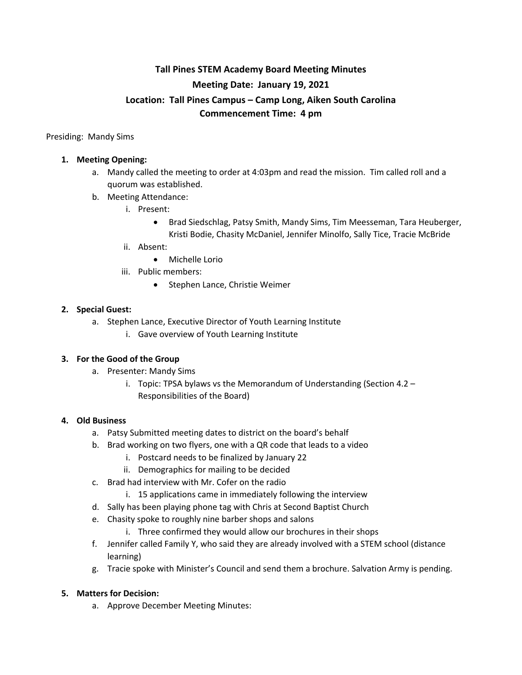# **Tall Pines STEM Academy Board Meeting Minutes Meeting Date: January 19, 2021 Location: Tall Pines Campus – Camp Long, Aiken South Carolina Commencement Time: 4 pm**

Presiding: Mandy Sims

#### **1. Meeting Opening:**

- a. Mandy called the meeting to order at 4:03pm and read the mission. Tim called roll and a quorum was established.
- b. Meeting Attendance:
	- i. Present:
		- Brad Siedschlag, Patsy Smith, Mandy Sims, Tim Meesseman, Tara Heuberger, Kristi Bodie, Chasity McDaniel, Jennifer Minolfo, Sally Tice, Tracie McBride
	- ii. Absent:
		- Michelle Lorio
	- iii. Public members:
		- Stephen Lance, Christie Weimer

#### **2. Special Guest:**

- a. Stephen Lance, Executive Director of Youth Learning Institute
	- i. Gave overview of Youth Learning Institute

#### **3. For the Good of the Group**

- a. Presenter: Mandy Sims
	- i. Topic: TPSA bylaws vs the Memorandum of Understanding (Section 4.2 Responsibilities of the Board)

#### **4. Old Business**

- a. Patsy Submitted meeting dates to district on the board's behalf
- b. Brad working on two flyers, one with a QR code that leads to a video
	- i. Postcard needs to be finalized by January 22
	- ii. Demographics for mailing to be decided
- c. Brad had interview with Mr. Cofer on the radio
	- i. 15 applications came in immediately following the interview
- d. Sally has been playing phone tag with Chris at Second Baptist Church
- e. Chasity spoke to roughly nine barber shops and salons
	- i. Three confirmed they would allow our brochures in their shops
- f. Jennifer called Family Y, who said they are already involved with a STEM school (distance learning)
- g. Tracie spoke with Minister's Council and send them a brochure. Salvation Army is pending.

#### **5. Matters for Decision:**

a. Approve December Meeting Minutes: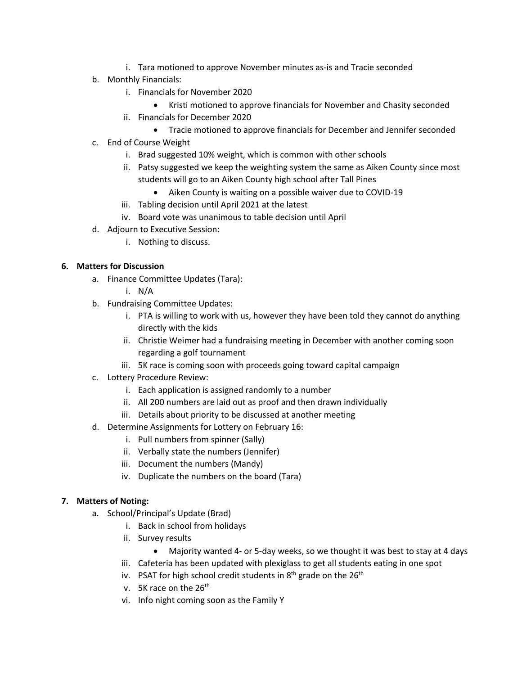- i. Tara motioned to approve November minutes as-is and Tracie seconded
- b. Monthly Financials:
	- i. Financials for November 2020
		- Kristi motioned to approve financials for November and Chasity seconded
	- ii. Financials for December 2020
		- Tracie motioned to approve financials for December and Jennifer seconded
- c. End of Course Weight
	- i. Brad suggested 10% weight, which is common with other schools
	- ii. Patsy suggested we keep the weighting system the same as Aiken County since most students will go to an Aiken County high school after Tall Pines
		- Aiken County is waiting on a possible waiver due to COVID-19
	- iii. Tabling decision until April 2021 at the latest
	- iv. Board vote was unanimous to table decision until April
- d. Adjourn to Executive Session:
	- i. Nothing to discuss.

## **6. Matters for Discussion**

- a. Finance Committee Updates (Tara):
	- i. N/A
- b. Fundraising Committee Updates:
	- i. PTA is willing to work with us, however they have been told they cannot do anything directly with the kids
	- ii. Christie Weimer had a fundraising meeting in December with another coming soon regarding a golf tournament
	- iii. 5K race is coming soon with proceeds going toward capital campaign
- c. Lottery Procedure Review:
	- i. Each application is assigned randomly to a number
	- ii. All 200 numbers are laid out as proof and then drawn individually
	- iii. Details about priority to be discussed at another meeting
- d. Determine Assignments for Lottery on February 16:
	- i. Pull numbers from spinner (Sally)
	- ii. Verbally state the numbers (Jennifer)
	- iii. Document the numbers (Mandy)
	- iv. Duplicate the numbers on the board (Tara)

# **7. Matters of Noting:**

- a. School/Principal's Update (Brad)
	- i. Back in school from holidays
	- ii. Survey results
		- Majority wanted 4- or 5-day weeks, so we thought it was best to stay at 4 days
	- iii. Cafeteria has been updated with plexiglass to get all students eating in one spot
	- iv. PSAT for high school credit students in  $8<sup>th</sup>$  grade on the  $26<sup>th</sup>$
	- v. 5K race on the  $26<sup>th</sup>$
	- vi. Info night coming soon as the Family Y